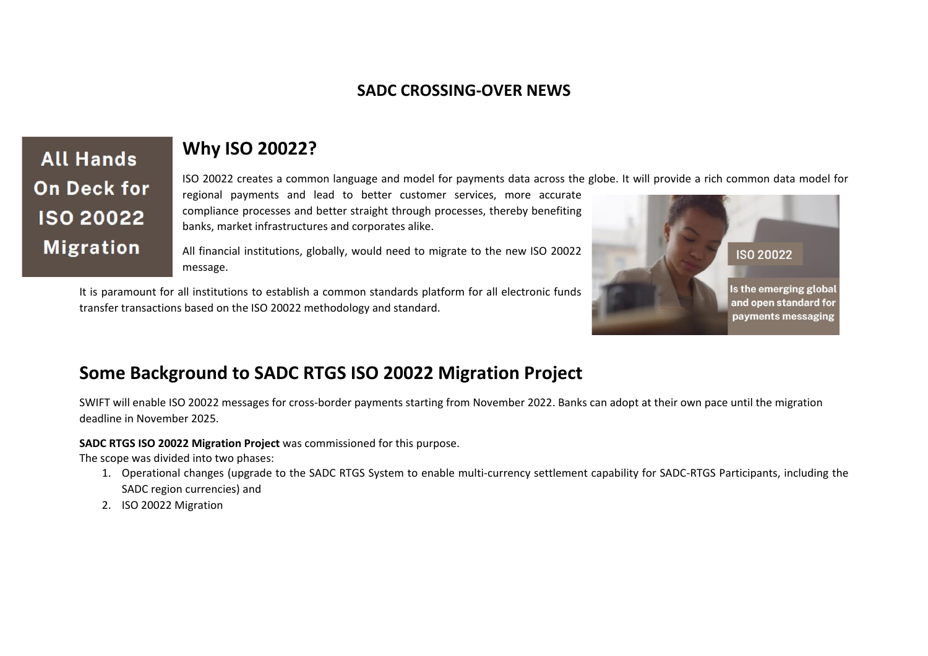### **SADC CROSSING-OVER NEWS**

**All Hands On Deck for ISO 20022 Migration** 

## **Why ISO 20022?**

ISO 20022 creates a common language and model for payments data across the globe. It will provide a rich common data model for

regional payments and lead to better customer services, more accurate compliance processes and better straight through processes, thereby benefiting banks, market infrastructures and corporates alike.

All financial institutions, globally, would need to migrate to the new ISO 20022 message.

It is paramount for all institutions to establish a common standards platform for all electronic funds transfer transactions based on the ISO 20022 methodology and standard.



# **Some Background to SADC RTGS ISO 20022 Migration Project**

SWIFT will enable ISO 20022 messages for cross-border payments starting from November 2022. Banks can adopt at their own pace until the migration deadline in November 2025.

#### **SADC RTGS ISO 20022 Migration Project** was commissioned for this purpose.

The scope was divided into two phases:

- 1. Operational changes (upgrade to the SADC RTGS System to enable multi-currency settlement capability for SADC-RTGS Participants, including the SADC region currencies) and
- 2. ISO 20022 Migration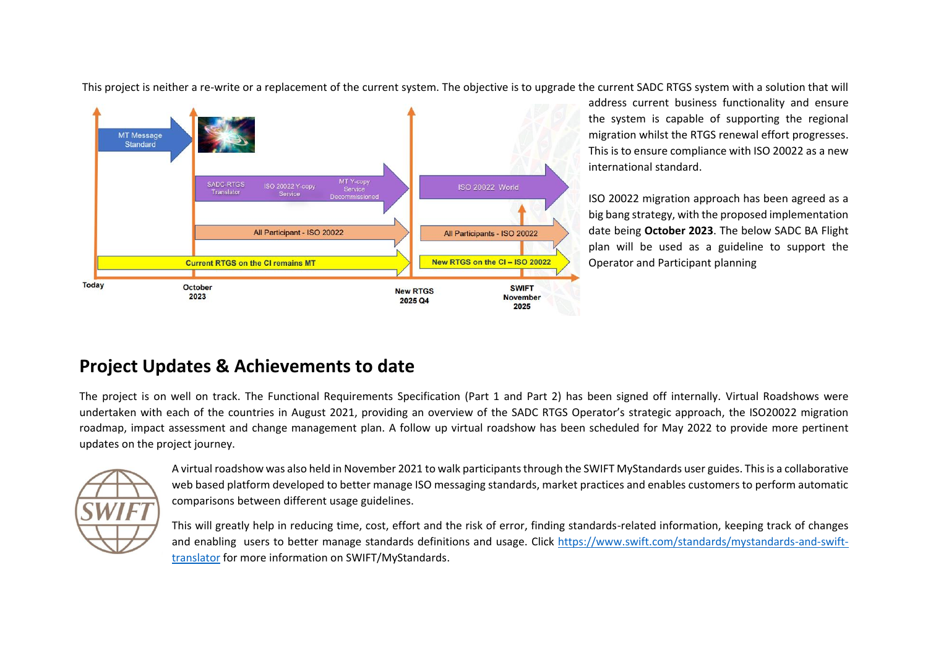This project is neither a re-write or a replacement of the current system. The objective is to upgrade the current SADC RTGS system with a solution that will



address current business functionality and ensure the system is capable of supporting the regional migration whilst the RTGS renewal effort progresses. This is to ensure compliance with ISO 20022 as a new international standard.

ISO 20022 migration approach has been agreed as a big bang strategy, with the proposed implementation date being **October 2023**. The below SADC BA Flight plan will be used as a guideline to support the Operator and Participant planning

# **Project Updates & Achievements to date**

The project is on well on track. The Functional Requirements Specification (Part 1 and Part 2) has been signed off internally. Virtual Roadshows were undertaken with each of the countries in August 2021, providing an overview of the SADC RTGS Operator's strategic approach, the ISO20022 migration roadmap, impact assessment and change management plan. A follow up virtual roadshow has been scheduled for May 2022 to provide more pertinent updates on the project journey.



A virtual roadshow was also held in November 2021 to walk participants through the SWIFT MyStandards user guides. This is a collaborative web based platform developed to better manage ISO messaging standards, market practices and enables customers to perform automatic comparisons between different usage guidelines.

This will greatly help in reducing time, cost, effort and the risk of error, finding standards-related information, keeping track of changes and enabling users to better manage standards definitions and usage. Click [https://www.swift.com/standards/mystandards-and-swift](https://www.swift.com/standards/mystandards-and-swift-translator)[translator](https://www.swift.com/standards/mystandards-and-swift-translator) for more information on SWIFT/MyStandards.